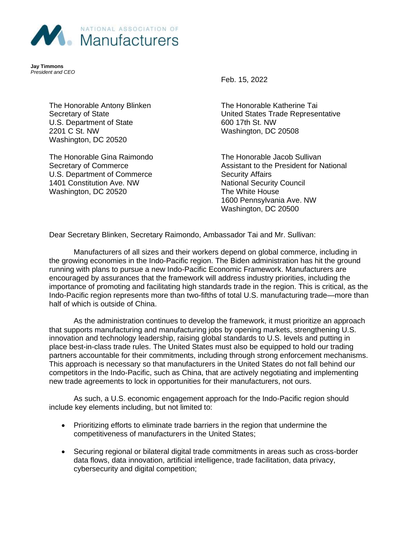

**Jay Timmons** *President and CEO*

> The Honorable Antony Blinken Secretary of State U.S. Department of State 2201 C St. NW Washington, DC 20520

The Honorable Gina Raimondo Secretary of Commerce U.S. Department of Commerce 1401 Constitution Ave. NW Washington, DC 20520

Feb. 15, 2022

The Honorable Katherine Tai United States Trade Representative 600 17th St. NW Washington, DC 20508

The Honorable Jacob Sullivan Assistant to the President for National Security Affairs National Security Council The White House 1600 Pennsylvania Ave. NW Washington, DC 20500

Dear Secretary Blinken, Secretary Raimondo, Ambassador Tai and Mr. Sullivan:

Manufacturers of all sizes and their workers depend on global commerce, including in the growing economies in the Indo-Pacific region. The Biden administration has hit the ground running with plans to pursue a new Indo-Pacific Economic Framework. Manufacturers are encouraged by assurances that the framework will address industry priorities, including the importance of promoting and facilitating high standards trade in the region. This is critical, as the Indo-Pacific region represents more than two-fifths of total U.S. manufacturing trade—more than half of which is outside of China.

As the administration continues to develop the framework, it must prioritize an approach that supports manufacturing and manufacturing jobs by opening markets, strengthening U.S. innovation and technology leadership, raising global standards to U.S. levels and putting in place best-in-class trade rules. The United States must also be equipped to hold our trading partners accountable for their commitments, including through strong enforcement mechanisms. This approach is necessary so that manufacturers in the United States do not fall behind our competitors in the Indo-Pacific, such as China, that are actively negotiating and implementing new trade agreements to lock in opportunities for their manufacturers, not ours.

As such, a U.S. economic engagement approach for the Indo-Pacific region should include key elements including, but not limited to:

- Prioritizing efforts to eliminate trade barriers in the region that undermine the competitiveness of manufacturers in the United States;
- Securing regional or bilateral digital trade commitments in areas such as cross-border data flows, data innovation, artificial intelligence, trade facilitation, data privacy, cybersecurity and digital competition;